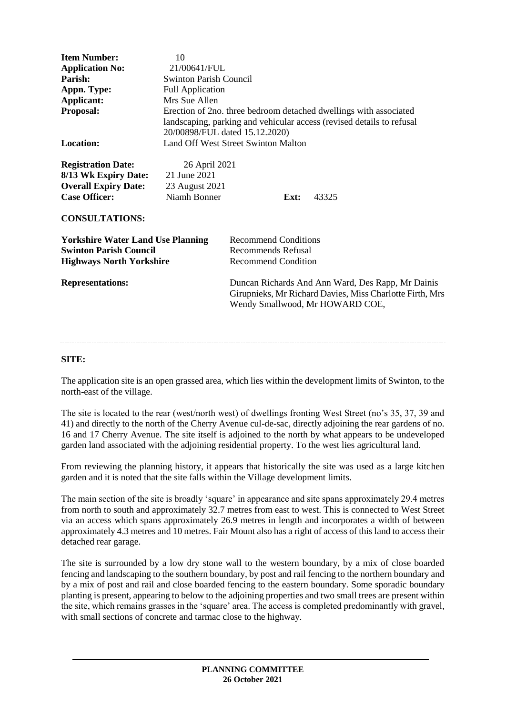| <b>Item Number:</b><br><b>Application No:</b><br>Parish:<br>Appn. Type:<br>Applicant:<br>Proposal:<br><b>Location:</b>                  | 10<br>21/00641/FUL<br><b>Swinton Parish Council</b><br><b>Full Application</b><br>Mrs Sue Allen<br>Erection of 2no. three bedroom detached dwellings with associated<br>landscaping, parking and vehicular access (revised details to refusal<br>20/00898/FUL dated 15.12.2020)<br>Land Off West Street Swinton Malton |                                                                                                                                                                                                                                     |  |       |
|-----------------------------------------------------------------------------------------------------------------------------------------|------------------------------------------------------------------------------------------------------------------------------------------------------------------------------------------------------------------------------------------------------------------------------------------------------------------------|-------------------------------------------------------------------------------------------------------------------------------------------------------------------------------------------------------------------------------------|--|-------|
| <b>Registration Date:</b><br>8/13 Wk Expiry Date:<br><b>Overall Expiry Date:</b><br><b>Case Officer:</b><br><b>CONSULTATIONS:</b>       | 26 April 2021<br>21 June 2021<br>23 August 2021<br>Niamh Bonner                                                                                                                                                                                                                                                        | Ext:                                                                                                                                                                                                                                |  | 43325 |
| <b>Yorkshire Water Land Use Planning</b><br><b>Swinton Parish Council</b><br><b>Highways North Yorkshire</b><br><b>Representations:</b> |                                                                                                                                                                                                                                                                                                                        | <b>Recommend Conditions</b><br>Recommends Refusal<br><b>Recommend Condition</b><br>Duncan Richards And Ann Ward, Des Rapp, Mr Dainis<br>Girupnieks, Mr Richard Davies, Miss Charlotte Firth, Mrs<br>Wendy Smallwood, Mr HOWARD COE, |  |       |

#### **SITE:**

The application site is an open grassed area, which lies within the development limits of Swinton, to the north-east of the village.

The site is located to the rear (west/north west) of dwellings fronting West Street (no's 35, 37, 39 and 41) and directly to the north of the Cherry Avenue cul-de-sac, directly adjoining the rear gardens of no. 16 and 17 Cherry Avenue. The site itself is adjoined to the north by what appears to be undeveloped garden land associated with the adjoining residential property. To the west lies agricultural land.

From reviewing the planning history, it appears that historically the site was used as a large kitchen garden and it is noted that the site falls within the Village development limits.

The main section of the site is broadly 'square' in appearance and site spans approximately 29.4 metres from north to south and approximately 32.7 metres from east to west. This is connected to West Street via an access which spans approximately 26.9 metres in length and incorporates a width of between approximately 4.3 metres and 10 metres. Fair Mount also has a right of access of this land to access their detached rear garage.

The site is surrounded by a low dry stone wall to the western boundary, by a mix of close boarded fencing and landscaping to the southern boundary, by post and rail fencing to the northern boundary and by a mix of post and rail and close boarded fencing to the eastern boundary. Some sporadic boundary planting is present, appearing to below to the adjoining properties and two small trees are present within the site, which remains grasses in the 'square' area. The access is completed predominantly with gravel, with small sections of concrete and tarmac close to the highway.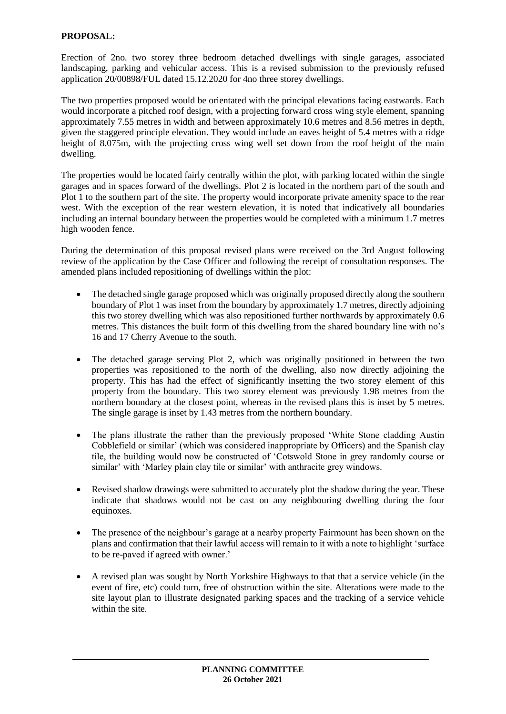## **PROPOSAL:**

Erection of 2no. two storey three bedroom detached dwellings with single garages, associated landscaping, parking and vehicular access. This is a revised submission to the previously refused application 20/00898/FUL dated 15.12.2020 for 4no three storey dwellings.

The two properties proposed would be orientated with the principal elevations facing eastwards. Each would incorporate a pitched roof design, with a projecting forward cross wing style element, spanning approximately 7.55 metres in width and between approximately 10.6 metres and 8.56 metres in depth, given the staggered principle elevation. They would include an eaves height of 5.4 metres with a ridge height of 8.075m, with the projecting cross wing well set down from the roof height of the main dwelling.

The properties would be located fairly centrally within the plot, with parking located within the single garages and in spaces forward of the dwellings. Plot 2 is located in the northern part of the south and Plot 1 to the southern part of the site. The property would incorporate private amenity space to the rear west. With the exception of the rear western elevation, it is noted that indicatively all boundaries including an internal boundary between the properties would be completed with a minimum 1.7 metres high wooden fence.

During the determination of this proposal revised plans were received on the 3rd August following review of the application by the Case Officer and following the receipt of consultation responses. The amended plans included repositioning of dwellings within the plot:

- The detached single garage proposed which was originally proposed directly along the southern boundary of Plot 1 was inset from the boundary by approximately 1.7 metres, directly adjoining this two storey dwelling which was also repositioned further northwards by approximately 0.6 metres. This distances the built form of this dwelling from the shared boundary line with no's 16 and 17 Cherry Avenue to the south.
- The detached garage serving Plot 2, which was originally positioned in between the two properties was repositioned to the north of the dwelling, also now directly adjoining the property. This has had the effect of significantly insetting the two storey element of this property from the boundary. This two storey element was previously 1.98 metres from the northern boundary at the closest point, whereas in the revised plans this is inset by 5 metres. The single garage is inset by 1.43 metres from the northern boundary.
- The plans illustrate the rather than the previously proposed 'White Stone cladding Austin Cobblefield or similar' (which was considered inappropriate by Officers) and the Spanish clay tile, the building would now be constructed of 'Cotswold Stone in grey randomly course or similar' with 'Marley plain clay tile or similar' with anthracite grey windows.
- Revised shadow drawings were submitted to accurately plot the shadow during the year. These indicate that shadows would not be cast on any neighbouring dwelling during the four equinoxes.
- The presence of the neighbour's garage at a nearby property Fairmount has been shown on the plans and confirmation that their lawful access will remain to it with a note to highlight 'surface to be re-paved if agreed with owner.'
- A revised plan was sought by North Yorkshire Highways to that that a service vehicle (in the event of fire, etc) could turn, free of obstruction within the site. Alterations were made to the site layout plan to illustrate designated parking spaces and the tracking of a service vehicle within the site.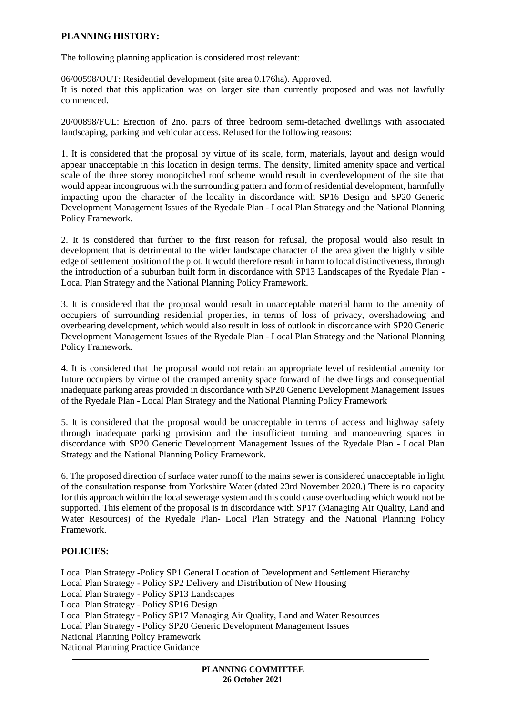### **PLANNING HISTORY:**

The following planning application is considered most relevant:

06/00598/OUT: Residential development (site area 0.176ha). Approved. It is noted that this application was on larger site than currently proposed and was not lawfully commenced.

20/00898/FUL: Erection of 2no. pairs of three bedroom semi-detached dwellings with associated landscaping, parking and vehicular access. Refused for the following reasons:

1. It is considered that the proposal by virtue of its scale, form, materials, layout and design would appear unacceptable in this location in design terms. The density, limited amenity space and vertical scale of the three storey monopitched roof scheme would result in overdevelopment of the site that would appear incongruous with the surrounding pattern and form of residential development, harmfully impacting upon the character of the locality in discordance with SP16 Design and SP20 Generic Development Management Issues of the Ryedale Plan - Local Plan Strategy and the National Planning Policy Framework.

2. It is considered that further to the first reason for refusal, the proposal would also result in development that is detrimental to the wider landscape character of the area given the highly visible edge of settlement position of the plot. It would therefore result in harm to local distinctiveness, through the introduction of a suburban built form in discordance with SP13 Landscapes of the Ryedale Plan - Local Plan Strategy and the National Planning Policy Framework.

3. It is considered that the proposal would result in unacceptable material harm to the amenity of occupiers of surrounding residential properties, in terms of loss of privacy, overshadowing and overbearing development, which would also result in loss of outlook in discordance with SP20 Generic Development Management Issues of the Ryedale Plan - Local Plan Strategy and the National Planning Policy Framework.

4. It is considered that the proposal would not retain an appropriate level of residential amenity for future occupiers by virtue of the cramped amenity space forward of the dwellings and consequential inadequate parking areas provided in discordance with SP20 Generic Development Management Issues of the Ryedale Plan - Local Plan Strategy and the National Planning Policy Framework

5. It is considered that the proposal would be unacceptable in terms of access and highway safety through inadequate parking provision and the insufficient turning and manoeuvring spaces in discordance with SP20 Generic Development Management Issues of the Ryedale Plan - Local Plan Strategy and the National Planning Policy Framework.

6. The proposed direction of surface water runoff to the mains sewer is considered unacceptable in light of the consultation response from Yorkshire Water (dated 23rd November 2020.) There is no capacity for this approach within the local sewerage system and this could cause overloading which would not be supported. This element of the proposal is in discordance with SP17 (Managing Air Quality, Land and Water Resources) of the Ryedale Plan- Local Plan Strategy and the National Planning Policy Framework.

# **POLICIES:**

Local Plan Strategy -Policy SP1 General Location of Development and Settlement Hierarchy Local Plan Strategy - Policy SP2 Delivery and Distribution of New Housing Local Plan Strategy - Policy SP13 Landscapes Local Plan Strategy - Policy SP16 Design Local Plan Strategy - Policy SP17 Managing Air Quality, Land and Water Resources Local Plan Strategy - Policy SP20 Generic Development Management Issues National Planning Policy Framework National Planning Practice Guidance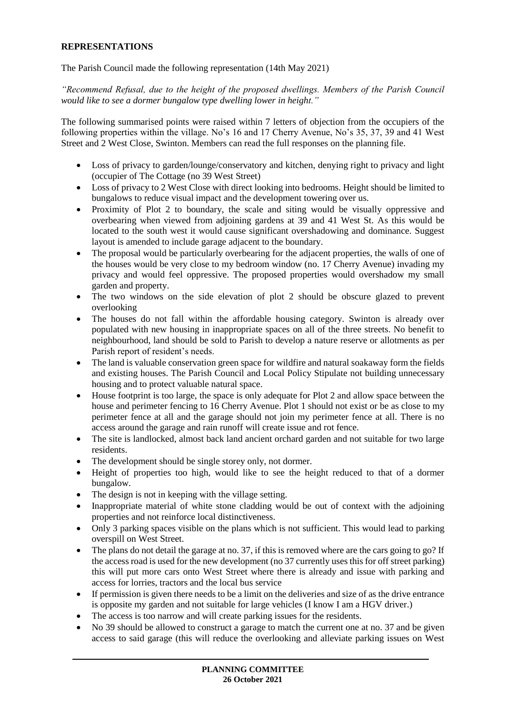## **REPRESENTATIONS**

The Parish Council made the following representation (14th May 2021)

*"Recommend Refusal, due to the height of the proposed dwellings. Members of the Parish Council would like to see a dormer bungalow type dwelling lower in height."*

The following summarised points were raised within 7 letters of objection from the occupiers of the following properties within the village. No's 16 and 17 Cherry Avenue, No's 35, 37, 39 and 41 West Street and 2 West Close, Swinton. Members can read the full responses on the planning file.

- Loss of privacy to garden/lounge/conservatory and kitchen, denying right to privacy and light (occupier of The Cottage (no 39 West Street)
- Loss of privacy to 2 West Close with direct looking into bedrooms. Height should be limited to bungalows to reduce visual impact and the development towering over us.
- Proximity of Plot 2 to boundary, the scale and siting would be visually oppressive and overbearing when viewed from adjoining gardens at 39 and 41 West St. As this would be located to the south west it would cause significant overshadowing and dominance. Suggest layout is amended to include garage adjacent to the boundary.
- The proposal would be particularly overbearing for the adjacent properties, the walls of one of the houses would be very close to my bedroom window (no. 17 Cherry Avenue) invading my privacy and would feel oppressive. The proposed properties would overshadow my small garden and property.
- The two windows on the side elevation of plot 2 should be obscure glazed to prevent overlooking
- The houses do not fall within the affordable housing category. Swinton is already over populated with new housing in inappropriate spaces on all of the three streets. No benefit to neighbourhood, land should be sold to Parish to develop a nature reserve or allotments as per Parish report of resident's needs.
- The land is valuable conservation green space for wildfire and natural soakaway form the fields and existing houses. The Parish Council and Local Policy Stipulate not building unnecessary housing and to protect valuable natural space.
- House footprint is too large, the space is only adequate for Plot 2 and allow space between the house and perimeter fencing to 16 Cherry Avenue. Plot 1 should not exist or be as close to my perimeter fence at all and the garage should not join my perimeter fence at all. There is no access around the garage and rain runoff will create issue and rot fence.
- The site is landlocked, almost back land ancient orchard garden and not suitable for two large residents.
- The development should be single storey only, not dormer.
- Height of properties too high, would like to see the height reduced to that of a dormer bungalow.
- The design is not in keeping with the village setting.
- Inappropriate material of white stone cladding would be out of context with the adjoining properties and not reinforce local distinctiveness.
- Only 3 parking spaces visible on the plans which is not sufficient. This would lead to parking overspill on West Street.
- The plans do not detail the garage at no. 37, if this is removed where are the cars going to go? If the access road is used for the new development (no 37 currently uses this for off street parking) this will put more cars onto West Street where there is already and issue with parking and access for lorries, tractors and the local bus service
- If permission is given there needs to be a limit on the deliveries and size of as the drive entrance is opposite my garden and not suitable for large vehicles (I know I am a HGV driver.)
- The access is too narrow and will create parking issues for the residents.
- No 39 should be allowed to construct a garage to match the current one at no. 37 and be given access to said garage (this will reduce the overlooking and alleviate parking issues on West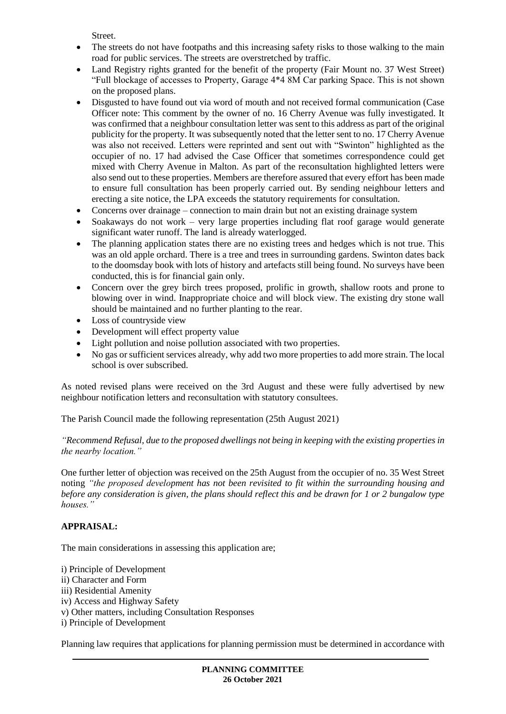Street.

- The streets do not have footpaths and this increasing safety risks to those walking to the main road for public services. The streets are overstretched by traffic.
- Land Registry rights granted for the benefit of the property (Fair Mount no. 37 West Street) "Full blockage of accesses to Property, Garage 4\*4 8M Car parking Space. This is not shown on the proposed plans.
- Disgusted to have found out via word of mouth and not received formal communication (Case Officer note: This comment by the owner of no. 16 Cherry Avenue was fully investigated. It was confirmed that a neighbour consultation letter was sent to this address as part of the original publicity for the property. It was subsequently noted that the letter sent to no. 17 Cherry Avenue was also not received. Letters were reprinted and sent out with "Swinton" highlighted as the occupier of no. 17 had advised the Case Officer that sometimes correspondence could get mixed with Cherry Avenue in Malton. As part of the reconsultation highlighted letters were also send out to these properties. Members are therefore assured that every effort has been made to ensure full consultation has been properly carried out. By sending neighbour letters and erecting a site notice, the LPA exceeds the statutory requirements for consultation.
- Concerns over drainage connection to main drain but not an existing drainage system
- Soakaways do not work very large properties including flat roof garage would generate significant water runoff. The land is already waterlogged.
- The planning application states there are no existing trees and hedges which is not true. This was an old apple orchard. There is a tree and trees in surrounding gardens. Swinton dates back to the doomsday book with lots of history and artefacts still being found. No surveys have been conducted, this is for financial gain only.
- Concern over the grey birch trees proposed, prolific in growth, shallow roots and prone to blowing over in wind. Inappropriate choice and will block view. The existing dry stone wall should be maintained and no further planting to the rear.
- Loss of countryside view
- Development will effect property value
- Light pollution and noise pollution associated with two properties.
- No gas or sufficient services already, why add two more properties to add more strain. The local school is over subscribed.

As noted revised plans were received on the 3rd August and these were fully advertised by new neighbour notification letters and reconsultation with statutory consultees.

The Parish Council made the following representation (25th August 2021)

*"Recommend Refusal, due to the proposed dwellings not being in keeping with the existing properties in the nearby location."*

One further letter of objection was received on the 25th August from the occupier of no. 35 West Street noting *"the proposed development has not been revisited to fit within the surrounding housing and before any consideration is given, the plans should reflect this and be drawn for 1 or 2 bungalow type houses."*

# **APPRAISAL:**

The main considerations in assessing this application are;

i) Principle of Development ii) Character and Form iii) Residential Amenity iv) Access and Highway Safety

- v) Other matters, including Consultation Responses
- i) Principle of Development

Planning law requires that applications for planning permission must be determined in accordance with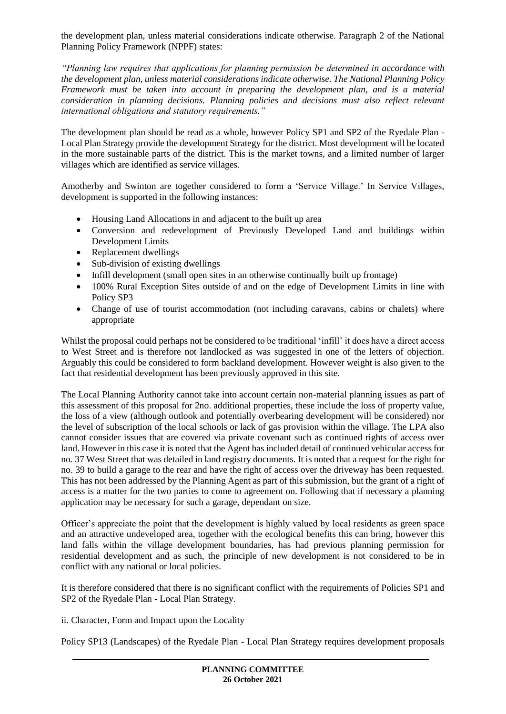the development plan, unless material considerations indicate otherwise. Paragraph 2 of the National Planning Policy Framework (NPPF) states:

*"Planning law requires that applications for planning permission be determined in accordance with the development plan, unless material considerations indicate otherwise. The National Planning Policy Framework must be taken into account in preparing the development plan, and is a material consideration in planning decisions. Planning policies and decisions must also reflect relevant international obligations and statutory requirements."*

The development plan should be read as a whole, however Policy SP1 and SP2 of the Ryedale Plan - Local Plan Strategy provide the development Strategy for the district. Most development will be located in the more sustainable parts of the district. This is the market towns, and a limited number of larger villages which are identified as service villages.

Amotherby and Swinton are together considered to form a 'Service Village.' In Service Villages, development is supported in the following instances:

- Housing Land Allocations in and adjacent to the built up area
- Conversion and redevelopment of Previously Developed Land and buildings within Development Limits
- Replacement dwellings
- Sub-division of existing dwellings
- Infill development (small open sites in an otherwise continually built up frontage)
- 100% Rural Exception Sites outside of and on the edge of Development Limits in line with Policy SP3
- Change of use of tourist accommodation (not including caravans, cabins or chalets) where appropriate

Whilst the proposal could perhaps not be considered to be traditional 'infill' it does have a direct access to West Street and is therefore not landlocked as was suggested in one of the letters of objection. Arguably this could be considered to form backland development. However weight is also given to the fact that residential development has been previously approved in this site.

The Local Planning Authority cannot take into account certain non-material planning issues as part of this assessment of this proposal for 2no. additional properties, these include the loss of property value, the loss of a view (although outlook and potentially overbearing development will be considered) nor the level of subscription of the local schools or lack of gas provision within the village. The LPA also cannot consider issues that are covered via private covenant such as continued rights of access over land. However in this case it is noted that the Agent has included detail of continued vehicular access for no. 37 West Street that was detailed in land registry documents. It is noted that a request for the right for no. 39 to build a garage to the rear and have the right of access over the driveway has been requested. This has not been addressed by the Planning Agent as part of this submission, but the grant of a right of access is a matter for the two parties to come to agreement on. Following that if necessary a planning application may be necessary for such a garage, dependant on size.

Officer's appreciate the point that the development is highly valued by local residents as green space and an attractive undeveloped area, together with the ecological benefits this can bring, however this land falls within the village development boundaries, has had previous planning permission for residential development and as such, the principle of new development is not considered to be in conflict with any national or local policies.

It is therefore considered that there is no significant conflict with the requirements of Policies SP1 and SP2 of the Ryedale Plan - Local Plan Strategy.

ii. Character, Form and Impact upon the Locality

Policy SP13 (Landscapes) of the Ryedale Plan - Local Plan Strategy requires development proposals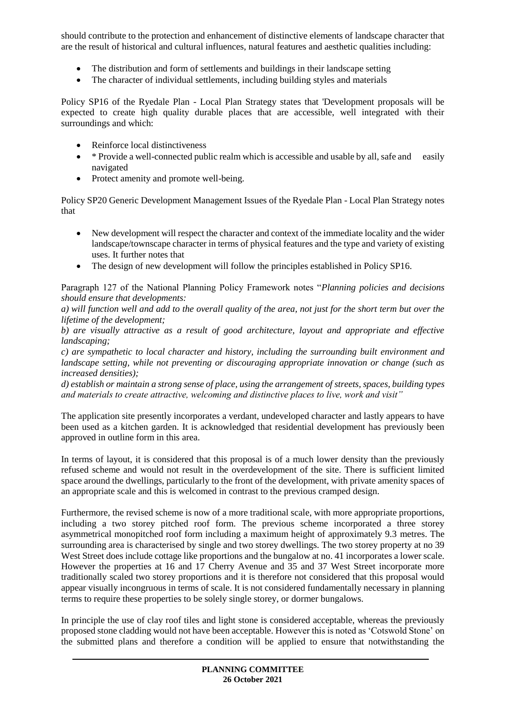should contribute to the protection and enhancement of distinctive elements of landscape character that are the result of historical and cultural influences, natural features and aesthetic qualities including:

- The distribution and form of settlements and buildings in their landscape setting
- The character of individual settlements, including building styles and materials

Policy SP16 of the Ryedale Plan - Local Plan Strategy states that 'Development proposals will be expected to create high quality durable places that are accessible, well integrated with their surroundings and which:

- Reinforce local distinctiveness
- \* Provide a well-connected public realm which is accessible and usable by all, safe and easily navigated
- Protect amenity and promote well-being.

Policy SP20 Generic Development Management Issues of the Ryedale Plan - Local Plan Strategy notes that

- New development will respect the character and context of the immediate locality and the wider landscape/townscape character in terms of physical features and the type and variety of existing uses. It further notes that
- The design of new development will follow the principles established in Policy SP16.

Paragraph 127 of the National Planning Policy Framework notes "*Planning policies and decisions should ensure that developments:*

*a) will function well and add to the overall quality of the area, not just for the short term but over the lifetime of the development;* 

*b) are visually attractive as a result of good architecture, layout and appropriate and effective landscaping;* 

*c) are sympathetic to local character and history, including the surrounding built environment and landscape setting, while not preventing or discouraging appropriate innovation or change (such as increased densities);* 

*d) establish or maintain a strong sense of place, using the arrangement of streets, spaces, building types and materials to create attractive, welcoming and distinctive places to live, work and visit"*

The application site presently incorporates a verdant, undeveloped character and lastly appears to have been used as a kitchen garden. It is acknowledged that residential development has previously been approved in outline form in this area.

In terms of layout, it is considered that this proposal is of a much lower density than the previously refused scheme and would not result in the overdevelopment of the site. There is sufficient limited space around the dwellings, particularly to the front of the development, with private amenity spaces of an appropriate scale and this is welcomed in contrast to the previous cramped design.

Furthermore, the revised scheme is now of a more traditional scale, with more appropriate proportions, including a two storey pitched roof form. The previous scheme incorporated a three storey asymmetrical monopitched roof form including a maximum height of approximately 9.3 metres. The surrounding area is characterised by single and two storey dwellings. The two storey property at no 39 West Street does include cottage like proportions and the bungalow at no. 41 incorporates a lower scale. However the properties at 16 and 17 Cherry Avenue and 35 and 37 West Street incorporate more traditionally scaled two storey proportions and it is therefore not considered that this proposal would appear visually incongruous in terms of scale. It is not considered fundamentally necessary in planning terms to require these properties to be solely single storey, or dormer bungalows.

In principle the use of clay roof tiles and light stone is considered acceptable, whereas the previously proposed stone cladding would not have been acceptable. However this is noted as 'Cotswold Stone' on the submitted plans and therefore a condition will be applied to ensure that notwithstanding the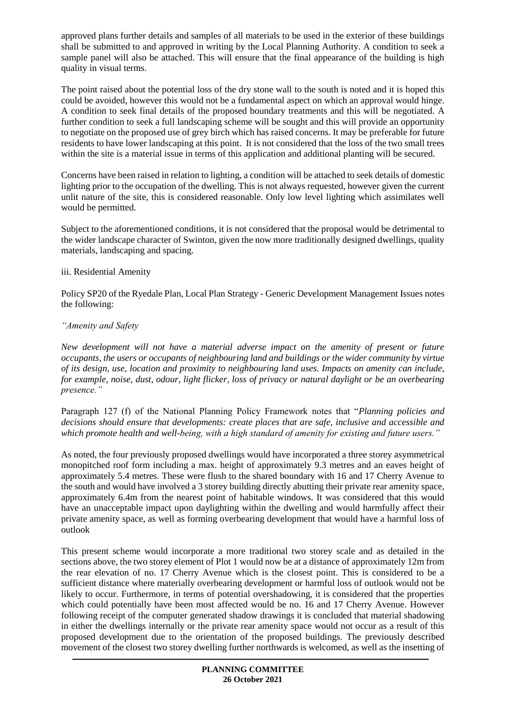approved plans further details and samples of all materials to be used in the exterior of these buildings shall be submitted to and approved in writing by the Local Planning Authority. A condition to seek a sample panel will also be attached. This will ensure that the final appearance of the building is high quality in visual terms.

The point raised about the potential loss of the dry stone wall to the south is noted and it is hoped this could be avoided, however this would not be a fundamental aspect on which an approval would hinge. A condition to seek final details of the proposed boundary treatments and this will be negotiated. A further condition to seek a full landscaping scheme will be sought and this will provide an opportunity to negotiate on the proposed use of grey birch which has raised concerns. It may be preferable for future residents to have lower landscaping at this point. It is not considered that the loss of the two small trees within the site is a material issue in terms of this application and additional planting will be secured.

Concerns have been raised in relation to lighting, a condition will be attached to seek details of domestic lighting prior to the occupation of the dwelling. This is not always requested, however given the current unlit nature of the site, this is considered reasonable. Only low level lighting which assimilates well would be permitted.

Subject to the aforementioned conditions, it is not considered that the proposal would be detrimental to the wider landscape character of Swinton, given the now more traditionally designed dwellings, quality materials, landscaping and spacing.

### iii. Residential Amenity

Policy SP20 of the Ryedale Plan, Local Plan Strategy - Generic Development Management Issues notes the following:

### *"Amenity and Safety*

*New development will not have a material adverse impact on the amenity of present or future occupants, the users or occupants of neighbouring land and buildings or the wider community by virtue of its design, use, location and proximity to neighbouring land uses. Impacts on amenity can include, for example, noise, dust, odour, light flicker, loss of privacy or natural daylight or be an overbearing presence."*

Paragraph 127 (f) of the National Planning Policy Framework notes that "*Planning policies and decisions should ensure that developments: create places that are safe, inclusive and accessible and which promote health and well-being, with a high standard of amenity for existing and future users."*

As noted, the four previously proposed dwellings would have incorporated a three storey asymmetrical monopitched roof form including a max. height of approximately 9.3 metres and an eaves height of approximately 5.4 metres. These were flush to the shared boundary with 16 and 17 Cherry Avenue to the south and would have involved a 3 storey building directly abutting their private rear amenity space, approximately 6.4m from the nearest point of habitable windows. It was considered that this would have an unacceptable impact upon daylighting within the dwelling and would harmfully affect their private amenity space, as well as forming overbearing development that would have a harmful loss of outlook

This present scheme would incorporate a more traditional two storey scale and as detailed in the sections above, the two storey element of Plot 1 would now be at a distance of approximately 12m from the rear elevation of no. 17 Cherry Avenue which is the closest point. This is considered to be a sufficient distance where materially overbearing development or harmful loss of outlook would not be likely to occur. Furthermore, in terms of potential overshadowing, it is considered that the properties which could potentially have been most affected would be no. 16 and 17 Cherry Avenue. However following receipt of the computer generated shadow drawings it is concluded that material shadowing in either the dwellings internally or the private rear amenity space would not occur as a result of this proposed development due to the orientation of the proposed buildings. The previously described movement of the closest two storey dwelling further northwards is welcomed, as well as the insetting of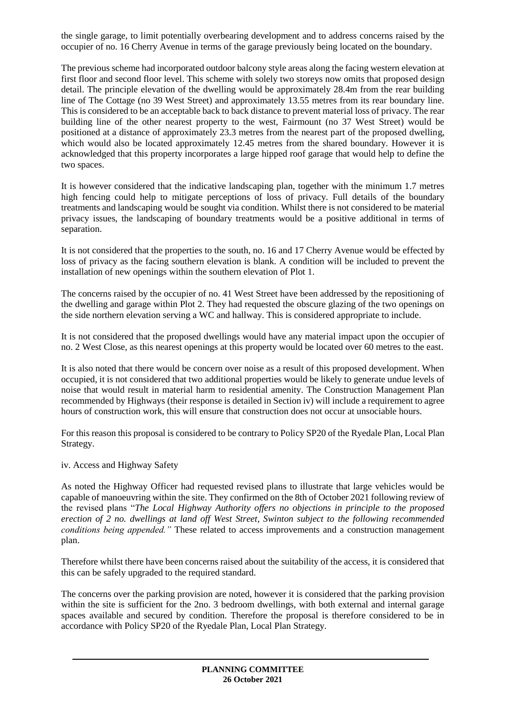the single garage, to limit potentially overbearing development and to address concerns raised by the occupier of no. 16 Cherry Avenue in terms of the garage previously being located on the boundary.

The previous scheme had incorporated outdoor balcony style areas along the facing western elevation at first floor and second floor level. This scheme with solely two storeys now omits that proposed design detail. The principle elevation of the dwelling would be approximately 28.4m from the rear building line of The Cottage (no 39 West Street) and approximately 13.55 metres from its rear boundary line. This is considered to be an acceptable back to back distance to prevent material loss of privacy. The rear building line of the other nearest property to the west, Fairmount (no 37 West Street) would be positioned at a distance of approximately 23.3 metres from the nearest part of the proposed dwelling, which would also be located approximately 12.45 metres from the shared boundary. However it is acknowledged that this property incorporates a large hipped roof garage that would help to define the two spaces.

It is however considered that the indicative landscaping plan, together with the minimum 1.7 metres high fencing could help to mitigate perceptions of loss of privacy. Full details of the boundary treatments and landscaping would be sought via condition. Whilst there is not considered to be material privacy issues, the landscaping of boundary treatments would be a positive additional in terms of separation.

It is not considered that the properties to the south, no. 16 and 17 Cherry Avenue would be effected by loss of privacy as the facing southern elevation is blank. A condition will be included to prevent the installation of new openings within the southern elevation of Plot 1.

The concerns raised by the occupier of no. 41 West Street have been addressed by the repositioning of the dwelling and garage within Plot 2. They had requested the obscure glazing of the two openings on the side northern elevation serving a WC and hallway. This is considered appropriate to include.

It is not considered that the proposed dwellings would have any material impact upon the occupier of no. 2 West Close, as this nearest openings at this property would be located over 60 metres to the east.

It is also noted that there would be concern over noise as a result of this proposed development. When occupied, it is not considered that two additional properties would be likely to generate undue levels of noise that would result in material harm to residential amenity. The Construction Management Plan recommended by Highways (their response is detailed in Section iv) will include a requirement to agree hours of construction work, this will ensure that construction does not occur at unsociable hours.

For this reason this proposal is considered to be contrary to Policy SP20 of the Ryedale Plan, Local Plan Strategy.

iv. Access and Highway Safety

As noted the Highway Officer had requested revised plans to illustrate that large vehicles would be capable of manoeuvring within the site. They confirmed on the 8th of October 2021 following review of the revised plans "*The Local Highway Authority offers no objections in principle to the proposed erection of 2 no. dwellings at land off West Street, Swinton subject to the following recommended conditions being appended."* These related to access improvements and a construction management plan.

Therefore whilst there have been concerns raised about the suitability of the access, it is considered that this can be safely upgraded to the required standard.

The concerns over the parking provision are noted, however it is considered that the parking provision within the site is sufficient for the 2no. 3 bedroom dwellings, with both external and internal garage spaces available and secured by condition. Therefore the proposal is therefore considered to be in accordance with Policy SP20 of the Ryedale Plan, Local Plan Strategy.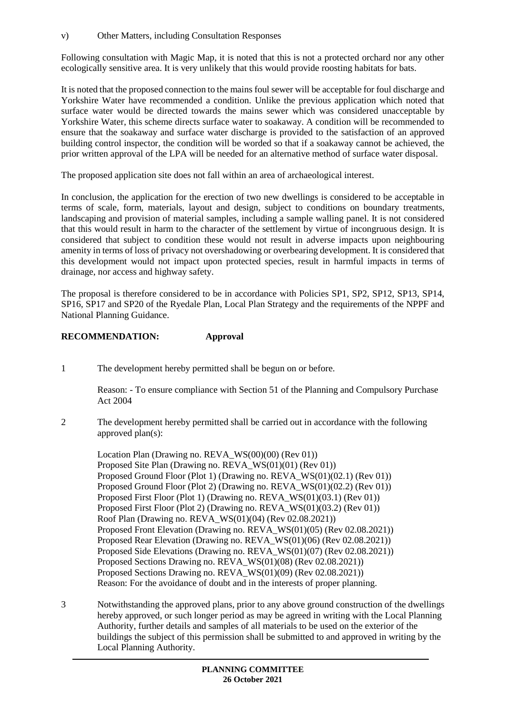Following consultation with Magic Map, it is noted that this is not a protected orchard nor any other ecologically sensitive area. It is very unlikely that this would provide roosting habitats for bats.

It is noted that the proposed connection to the mains foul sewer will be acceptable for foul discharge and Yorkshire Water have recommended a condition. Unlike the previous application which noted that surface water would be directed towards the mains sewer which was considered unacceptable by Yorkshire Water, this scheme directs surface water to soakaway. A condition will be recommended to ensure that the soakaway and surface water discharge is provided to the satisfaction of an approved building control inspector, the condition will be worded so that if a soakaway cannot be achieved, the prior written approval of the LPA will be needed for an alternative method of surface water disposal.

The proposed application site does not fall within an area of archaeological interest.

In conclusion, the application for the erection of two new dwellings is considered to be acceptable in terms of scale, form, materials, layout and design, subject to conditions on boundary treatments, landscaping and provision of material samples, including a sample walling panel. It is not considered that this would result in harm to the character of the settlement by virtue of incongruous design. It is considered that subject to condition these would not result in adverse impacts upon neighbouring amenity in terms of loss of privacy not overshadowing or overbearing development. It is considered that this development would not impact upon protected species, result in harmful impacts in terms of drainage, nor access and highway safety.

The proposal is therefore considered to be in accordance with Policies SP1, SP2, SP12, SP13, SP14, SP16, SP17 and SP20 of the Ryedale Plan, Local Plan Strategy and the requirements of the NPPF and National Planning Guidance.

### **RECOMMENDATION: Approval**

1 The development hereby permitted shall be begun on or before.

Reason: - To ensure compliance with Section 51 of the Planning and Compulsory Purchase Act 2004

2 The development hereby permitted shall be carried out in accordance with the following approved plan(s):

Location Plan (Drawing no. REVA  $WS(00)(00)$  (Rev 01)) Proposed Site Plan (Drawing no. REVA\_WS(01)(01) (Rev 01)) Proposed Ground Floor (Plot 1) (Drawing no. REVA\_WS(01)(02.1) (Rev 01)) Proposed Ground Floor (Plot 2) (Drawing no. REVA\_WS(01)(02.2) (Rev 01)) Proposed First Floor (Plot 1) (Drawing no. REVA\_WS $(01)(03.1)$  (Rev 01)) Proposed First Floor (Plot 2) (Drawing no. REVA\_WS(01)(03.2) (Rev 01)) Roof Plan (Drawing no. REVA\_WS(01)(04) (Rev 02.08.2021)) Proposed Front Elevation (Drawing no. REVA\_WS(01)(05) (Rev 02.08.2021)) Proposed Rear Elevation (Drawing no. REVA\_WS(01)(06) (Rev 02.08.2021)) Proposed Side Elevations (Drawing no. REVA\_WS(01)(07) (Rev 02.08.2021)) Proposed Sections Drawing no. REVA\_WS(01)(08) (Rev 02.08.2021)) Proposed Sections Drawing no. REVA\_WS(01)(09) (Rev 02.08.2021)) Reason: For the avoidance of doubt and in the interests of proper planning.

3 Notwithstanding the approved plans, prior to any above ground construction of the dwellings hereby approved, or such longer period as may be agreed in writing with the Local Planning Authority, further details and samples of all materials to be used on the exterior of the buildings the subject of this permission shall be submitted to and approved in writing by the Local Planning Authority.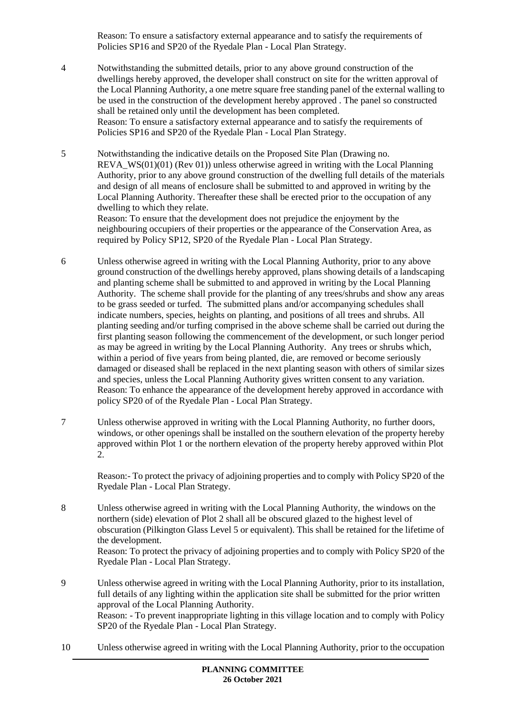Reason: To ensure a satisfactory external appearance and to satisfy the requirements of Policies SP16 and SP20 of the Ryedale Plan - Local Plan Strategy.

- 4 Notwithstanding the submitted details, prior to any above ground construction of the dwellings hereby approved, the developer shall construct on site for the written approval of the Local Planning Authority, a one metre square free standing panel of the external walling to be used in the construction of the development hereby approved . The panel so constructed shall be retained only until the development has been completed. Reason: To ensure a satisfactory external appearance and to satisfy the requirements of Policies SP16 and SP20 of the Ryedale Plan - Local Plan Strategy.
- 5 Notwithstanding the indicative details on the Proposed Site Plan (Drawing no. REVA WS(01)(01) (Rev 01)) unless otherwise agreed in writing with the Local Planning Authority, prior to any above ground construction of the dwelling full details of the materials and design of all means of enclosure shall be submitted to and approved in writing by the Local Planning Authority. Thereafter these shall be erected prior to the occupation of any dwelling to which they relate.

Reason: To ensure that the development does not prejudice the enjoyment by the neighbouring occupiers of their properties or the appearance of the Conservation Area, as required by Policy SP12, SP20 of the Ryedale Plan - Local Plan Strategy.

- 6 Unless otherwise agreed in writing with the Local Planning Authority, prior to any above ground construction of the dwellings hereby approved, plans showing details of a landscaping and planting scheme shall be submitted to and approved in writing by the Local Planning Authority. The scheme shall provide for the planting of any trees/shrubs and show any areas to be grass seeded or turfed. The submitted plans and/or accompanying schedules shall indicate numbers, species, heights on planting, and positions of all trees and shrubs. All planting seeding and/or turfing comprised in the above scheme shall be carried out during the first planting season following the commencement of the development, or such longer period as may be agreed in writing by the Local Planning Authority. Any trees or shrubs which, within a period of five years from being planted, die, are removed or become seriously damaged or diseased shall be replaced in the next planting season with others of similar sizes and species, unless the Local Planning Authority gives written consent to any variation. Reason: To enhance the appearance of the development hereby approved in accordance with policy SP20 of of the Ryedale Plan - Local Plan Strategy.
- 7 Unless otherwise approved in writing with the Local Planning Authority, no further doors, windows, or other openings shall be installed on the southern elevation of the property hereby approved within Plot 1 or the northern elevation of the property hereby approved within Plot 2.

Reason:- To protect the privacy of adjoining properties and to comply with Policy SP20 of the Ryedale Plan - Local Plan Strategy.

- 8 Unless otherwise agreed in writing with the Local Planning Authority, the windows on the northern (side) elevation of Plot 2 shall all be obscured glazed to the highest level of obscuration (Pilkington Glass Level 5 or equivalent). This shall be retained for the lifetime of the development. Reason: To protect the privacy of adjoining properties and to comply with Policy SP20 of the Ryedale Plan - Local Plan Strategy.
- 9 Unless otherwise agreed in writing with the Local Planning Authority, prior to its installation, full details of any lighting within the application site shall be submitted for the prior written approval of the Local Planning Authority. Reason: - To prevent inappropriate lighting in this village location and to comply with Policy SP20 of the Ryedale Plan - Local Plan Strategy.
- 10 Unless otherwise agreed in writing with the Local Planning Authority, prior to the occupation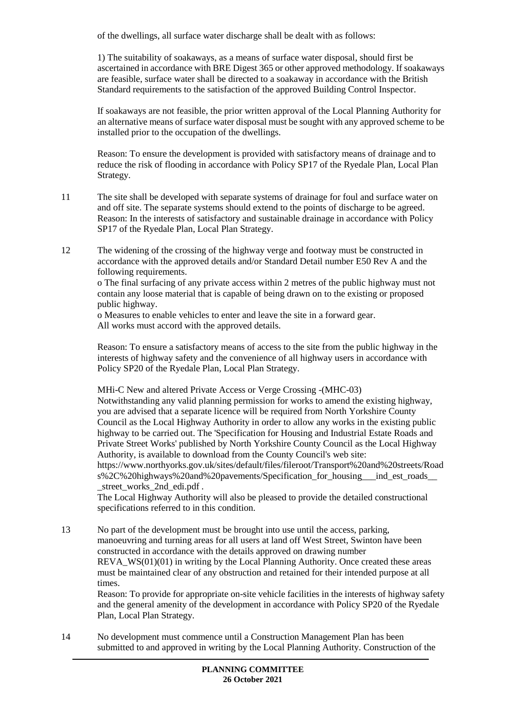of the dwellings, all surface water discharge shall be dealt with as follows:

1) The suitability of soakaways, as a means of surface water disposal, should first be ascertained in accordance with BRE Digest 365 or other approved methodology. If soakaways are feasible, surface water shall be directed to a soakaway in accordance with the British Standard requirements to the satisfaction of the approved Building Control Inspector.

If soakaways are not feasible, the prior written approval of the Local Planning Authority for an alternative means of surface water disposal must be sought with any approved scheme to be installed prior to the occupation of the dwellings.

Reason: To ensure the development is provided with satisfactory means of drainage and to reduce the risk of flooding in accordance with Policy SP17 of the Ryedale Plan, Local Plan Strategy.

- 11 The site shall be developed with separate systems of drainage for foul and surface water on and off site. The separate systems should extend to the points of discharge to be agreed. Reason: In the interests of satisfactory and sustainable drainage in accordance with Policy SP17 of the Ryedale Plan, Local Plan Strategy.
- 12 The widening of the crossing of the highway verge and footway must be constructed in accordance with the approved details and/or Standard Detail number E50 Rev A and the following requirements.

o The final surfacing of any private access within 2 metres of the public highway must not contain any loose material that is capable of being drawn on to the existing or proposed public highway.

o Measures to enable vehicles to enter and leave the site in a forward gear. All works must accord with the approved details.

Reason: To ensure a satisfactory means of access to the site from the public highway in the interests of highway safety and the convenience of all highway users in accordance with Policy SP20 of the Ryedale Plan, Local Plan Strategy.

MHi-C New and altered Private Access or Verge Crossing -(MHC-03) Notwithstanding any valid planning permission for works to amend the existing highway, you are advised that a separate licence will be required from North Yorkshire County Council as the Local Highway Authority in order to allow any works in the existing public highway to be carried out. The 'Specification for Housing and Industrial Estate Roads and Private Street Works' published by North Yorkshire County Council as the Local Highway Authority, is available to download from the County Council's web site:

https://www.northyorks.gov.uk/sites/default/files/fileroot/Transport%20and%20streets/Road s%2C%20highways%20and%20pavements/Specification\_for\_housing\_\_\_ind\_est\_roads\_\_ \_street\_works\_2nd\_edi.pdf .

The Local Highway Authority will also be pleased to provide the detailed constructional specifications referred to in this condition.

13 No part of the development must be brought into use until the access, parking, manoeuvring and turning areas for all users at land off West Street, Swinton have been constructed in accordance with the details approved on drawing number REVA  $WS(01)(01)$  in writing by the Local Planning Authority. Once created these areas must be maintained clear of any obstruction and retained for their intended purpose at all times.

Reason: To provide for appropriate on-site vehicle facilities in the interests of highway safety and the general amenity of the development in accordance with Policy SP20 of the Ryedale Plan, Local Plan Strategy.

14 No development must commence until a Construction Management Plan has been submitted to and approved in writing by the Local Planning Authority. Construction of the